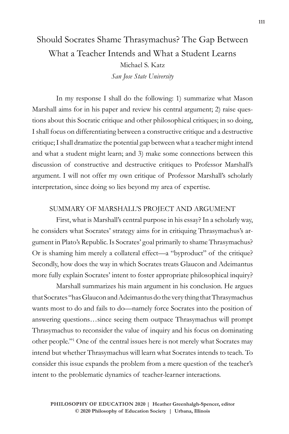## Should Socrates Shame Thrasymachus? The Gap Between What a Teacher Intends and What a Student Learns Michael S. Katz *San Jose State University*

In my response I shall do the following: 1) summarize what Mason Marshall aims for in his paper and review his central argument; 2) raise questions about this Socratic critique and other philosophical critiques; in so doing, I shall focus on differentiating between a constructive critique and a destructive critique; I shall dramatize the potential gap between what a teacher might intend and what a student might learn; and 3) make some connections between this discussion of constructive and destructive critiques to Professor Marshall's argument. I will not offer my own critique of Professor Marshall's scholarly interpretation, since doing so lies beyond my area of expertise.

## SUMMARY OF MARSHALL'S PROJECT AND ARGUMENT

First, what is Marshall's central purpose in his essay? In a scholarly way, he considers what Socrates' strategy aims for in critiquing Thrasymachus's argument in Plato's Republic. Is Socrates' goal primarily to shame Thrasymachus? Or is shaming him merely a collateral effect—a "byproduct" of the critique? Secondly, how does the way in which Socrates treats Glaucon and Adeimantus more fully explain Socrates' intent to foster appropriate philosophical inquiry?

Marshall summarizes his main argument in his conclusion. He argues that Socrates "has Glaucon and Adeimantus do the very thing that Thrasymachus wants most to do and fails to do—namely force Socrates into the position of answering questions…since seeing them outpace Thrasymachus will prompt Thrasymachus to reconsider the value of inquiry and his focus on dominating other people."1 One of the central issues here is not merely what Socrates may intend but whether Thrasymachus will learn what Socrates intends to teach. To consider this issue expands the problem from a mere question of the teacher's intent to the problematic dynamics of teacher-learner interactions.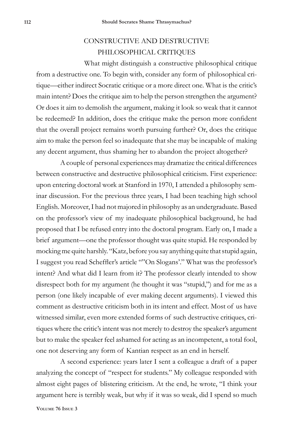## CONSTRUCTIVE AND DESTRUCTIVE PHILOSOPHICAL CRITIQUES

What might distinguish a constructive philosophical critique from a destructive one. To begin with, consider any form of philosophical critique—either indirect Socratic critique or a more direct one. What is the critic's main intent? Does the critique aim to help the person strengthen the argument? Or does it aim to demolish the argument, making it look so weak that it cannot be redeemed? In addition, does the critique make the person more confident that the overall project remains worth pursuing further? Or, does the critique aim to make the person feel so inadequate that she may be incapable of making any decent argument, thus shaming her to abandon the project altogether?

A couple of personal experiences may dramatize the critical differences between constructive and destructive philosophical criticism. First experience: upon entering doctoral work at Stanford in 1970, I attended a philosophy seminar discussion. For the previous three years, I had been teaching high school English. Moreover, I had not majored in philosophy as an undergraduate. Based on the professor's view of my inadequate philosophical background, he had proposed that I be refused entry into the doctoral program. Early on, I made a brief argument—one the professor thought was quite stupid. He responded by mocking me quite harshly. "Katz, before you say anything quite that stupid again, I suggest you read Scheffler's article ""On Slogans'." What was the professor's intent? And what did I learn from it? The professor clearly intended to show disrespect both for my argument (he thought it was "stupid,") and for me as a person (one likely incapable of ever making decent arguments). I viewed this comment as destructive criticism both in its intent and effect. Most of us have witnessed similar, even more extended forms of such destructive critiques, critiques where the critic's intent was not merely to destroy the speaker's argument but to make the speaker feel ashamed for acting as an incompetent, a total fool, one not deserving any form of Kantian respect as an end in herself.

A second experience: years later I sent a colleague a draft of a paper analyzing the concept of "respect for students." My colleague responded with almost eight pages of blistering criticism. At the end, he wrote, "I think your argument here is terribly weak, but why if it was so weak, did I spend so much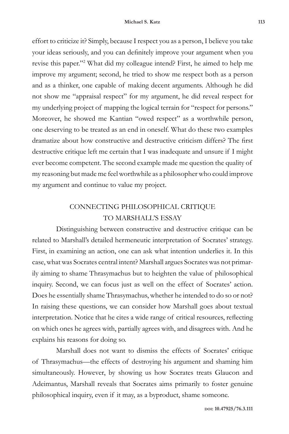effort to criticize it? Simply, because I respect you as a person, I believe you take your ideas seriously, and you can definitely improve your argument when you revise this paper."2 What did my colleague intend? First, he aimed to help me improve my argument; second, he tried to show me respect both as a person and as a thinker, one capable of making decent arguments. Although he did not show me "appraisal respect" for my argument, he did reveal respect for my underlying project of mapping the logical terrain for "respect for persons." Moreover, he showed me Kantian "owed respect" as a worthwhile person, one deserving to be treated as an end in oneself. What do these two examples dramatize about how constructive and destructive criticism differs? The first destructive critique left me certain that I was inadequate and unsure if I might ever become competent. The second example made me question the quality of my reasoning but made me feel worthwhile as a philosopher who could improve my argument and continue to value my project.

## CONNECTING PHILOSOPHICAL CRITIQUE TO MARSHALL'S ESSAY

Distinguishing between constructive and destructive critique can be related to Marshall's detailed hermeneutic interpretation of Socrates' strategy. First, in examining an action, one can ask what intention underlies it. In this case, what was Socrates central intent? Marshall argues Socrates was not primarily aiming to shame Thrasymachus but to heighten the value of philosophical inquiry. Second, we can focus just as well on the effect of Socrates' action. Does he essentially shame Thrasymachus, whether he intended to do so or not? In raising these questions, we can consider how Marshall goes about textual interpretation. Notice that he cites a wide range of critical resources, reflecting on which ones he agrees with, partially agrees with, and disagrees with. And he explains his reasons for doing so.

Marshall does not want to dismiss the effects of Socrates' critique of Thrasymachus—the effects of destroying his argument and shaming him simultaneously. However, by showing us how Socrates treats Glaucon and Adeimantus, Marshall reveals that Socrates aims primarily to foster genuine philosophical inquiry, even if it may, as a byproduct, shame someone.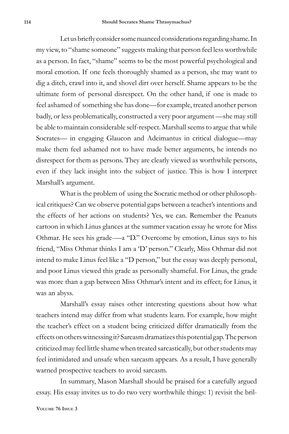Let us briefly consider some nuanced considerations regarding shame. In my view, to "shame someone" suggests making that person feel less worthwhile as a person. In fact, "shame" seems to be the most powerful psychological and moral emotion. If one feels thoroughly shamed as a person, she may want to dig a ditch, crawl into it, and shovel dirt over herself. Shame appears to be the ultimate form of personal disrespect. On the other hand, if one is made to feel ashamed of something she has done—for example, treated another person badly, or less problematically, constructed a very poor argument —she may still be able to maintain considerable self-respect. Marshall seems to argue that while Socrates— in engaging Glaucon and Adeimantus in critical dialogue—may make them feel ashamed not to have made better arguments, he intends no disrespect for them as persons. They are clearly viewed as worthwhile persons, even if they lack insight into the subject of justice. This is how I interpret Marshall's argument.

What is the problem of using the Socratic method or other philosophical critiques? Can we observe potential gaps between a teacher's intentions and the effects of her actions on students? Yes, we can. Remember the Peanuts cartoon in which Linus glances at the summer vacation essay he wrote for Miss Othmar. He sees his grade-—a "D." Overcome by emotion, Linus says to his friend, "Miss Othmar thinks I am a 'D' person." Clearly, Miss Othmar did not intend to make Linus feel like a "D person," but the essay was deeply personal, and poor Linus viewed this grade as personally shameful. For Linus, the grade was more than a gap between Miss Othmar's intent and its effect; for Linus, it was an abyss.

Marshall's essay raises other interesting questions about how what teachers intend may differ from what students learn. For example, how might the teacher's effect on a student being criticized differ dramatically from the effects on others witnessing it? Sarcasm dramatizes this potential gap. The person criticized may feel little shame when treated sarcastically, but other students may feel intimidated and unsafe when sarcasm appears. As a result, I have generally warned prospective teachers to avoid sarcasm.

In summary, Mason Marshall should be praised for a carefully argued essay. His essay invites us to do two very worthwhile things: 1) revisit the bril